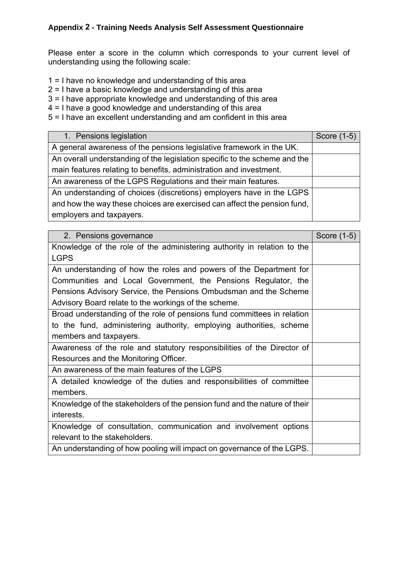## Appendix 2 - Training Needs Analysis Self Assessment Questionnaire

| 1. Pensions legislation                                                    | Score (1-5) |
|----------------------------------------------------------------------------|-------------|
| A general awareness of the pensions legislative framework in the UK.       |             |
| An overall understanding of the legislation specific to the scheme and the |             |
| main features relating to benefits, administration and investment.         |             |
| An awareness of the LGPS Regulations and their main features.              |             |
| An understanding of choices (discretions) employers have in the LGPS       |             |
| and how the way these choices are exercised can affect the pension fund,   |             |
| employers and taxpayers.                                                   |             |

| 1 = I have no knowledge and understanding of this area<br>$2 = 1$ have a basic knowledge and understanding of this area<br>3 = I have appropriate knowledge and understanding of this area<br>4 = I have a good knowledge and understanding of this area<br>1. Pensions legislation<br>A general awareness of the pensions legislative framework in the UK.<br>An overall understanding of the legislation specific to the scheme and the<br>main features relating to benefits, administration and investment.<br>An awareness of the LGPS Regulations and their main features.<br>An understanding of choices (discretions) employers have in the LGPS | Score (1-5) |
|----------------------------------------------------------------------------------------------------------------------------------------------------------------------------------------------------------------------------------------------------------------------------------------------------------------------------------------------------------------------------------------------------------------------------------------------------------------------------------------------------------------------------------------------------------------------------------------------------------------------------------------------------------|-------------|
|                                                                                                                                                                                                                                                                                                                                                                                                                                                                                                                                                                                                                                                          |             |
| 5 = I have an excellent understanding and am confident in this area                                                                                                                                                                                                                                                                                                                                                                                                                                                                                                                                                                                      |             |
|                                                                                                                                                                                                                                                                                                                                                                                                                                                                                                                                                                                                                                                          |             |
|                                                                                                                                                                                                                                                                                                                                                                                                                                                                                                                                                                                                                                                          |             |
|                                                                                                                                                                                                                                                                                                                                                                                                                                                                                                                                                                                                                                                          |             |
|                                                                                                                                                                                                                                                                                                                                                                                                                                                                                                                                                                                                                                                          |             |
|                                                                                                                                                                                                                                                                                                                                                                                                                                                                                                                                                                                                                                                          |             |
|                                                                                                                                                                                                                                                                                                                                                                                                                                                                                                                                                                                                                                                          |             |
|                                                                                                                                                                                                                                                                                                                                                                                                                                                                                                                                                                                                                                                          |             |
|                                                                                                                                                                                                                                                                                                                                                                                                                                                                                                                                                                                                                                                          |             |
| and how the way these choices are exercised can affect the pension fund,<br>employers and taxpayers.                                                                                                                                                                                                                                                                                                                                                                                                                                                                                                                                                     |             |
|                                                                                                                                                                                                                                                                                                                                                                                                                                                                                                                                                                                                                                                          |             |
| 2. Pensions governance                                                                                                                                                                                                                                                                                                                                                                                                                                                                                                                                                                                                                                   | Score (1-5) |
| Knowledge of the role of the administering authority in relation to the                                                                                                                                                                                                                                                                                                                                                                                                                                                                                                                                                                                  |             |
| <b>LGPS</b>                                                                                                                                                                                                                                                                                                                                                                                                                                                                                                                                                                                                                                              |             |
| An understanding of how the roles and powers of the Department for                                                                                                                                                                                                                                                                                                                                                                                                                                                                                                                                                                                       |             |
| Communities and Local Government, the Pensions Regulator, the                                                                                                                                                                                                                                                                                                                                                                                                                                                                                                                                                                                            |             |
| Pensions Advisory Service, the Pensions Ombudsman and the Scheme                                                                                                                                                                                                                                                                                                                                                                                                                                                                                                                                                                                         |             |
| Advisory Board relate to the workings of the scheme.                                                                                                                                                                                                                                                                                                                                                                                                                                                                                                                                                                                                     |             |
| Broad understanding of the role of pensions fund committees in relation                                                                                                                                                                                                                                                                                                                                                                                                                                                                                                                                                                                  |             |
| to the fund, administering authority, employing authorities, scheme                                                                                                                                                                                                                                                                                                                                                                                                                                                                                                                                                                                      |             |
| members and taxpayers.                                                                                                                                                                                                                                                                                                                                                                                                                                                                                                                                                                                                                                   |             |
| Awareness of the role and statutory responsibilities of the Director of                                                                                                                                                                                                                                                                                                                                                                                                                                                                                                                                                                                  |             |
| Resources and the Monitoring Officer.                                                                                                                                                                                                                                                                                                                                                                                                                                                                                                                                                                                                                    |             |
| An awareness of the main features of the LGPS                                                                                                                                                                                                                                                                                                                                                                                                                                                                                                                                                                                                            |             |
| A detailed knowledge of the duties and responsibilities of committee                                                                                                                                                                                                                                                                                                                                                                                                                                                                                                                                                                                     |             |
| members.                                                                                                                                                                                                                                                                                                                                                                                                                                                                                                                                                                                                                                                 |             |
| Knowledge of the stakeholders of the pension fund and the nature of their                                                                                                                                                                                                                                                                                                                                                                                                                                                                                                                                                                                |             |
| interests.                                                                                                                                                                                                                                                                                                                                                                                                                                                                                                                                                                                                                                               |             |
| Knowledge of consultation, communication and involvement options                                                                                                                                                                                                                                                                                                                                                                                                                                                                                                                                                                                         |             |
| relevant to the stakeholders.                                                                                                                                                                                                                                                                                                                                                                                                                                                                                                                                                                                                                            |             |
| An understanding of how pooling will impact on governance of the LGPS.                                                                                                                                                                                                                                                                                                                                                                                                                                                                                                                                                                                   |             |
|                                                                                                                                                                                                                                                                                                                                                                                                                                                                                                                                                                                                                                                          |             |
|                                                                                                                                                                                                                                                                                                                                                                                                                                                                                                                                                                                                                                                          |             |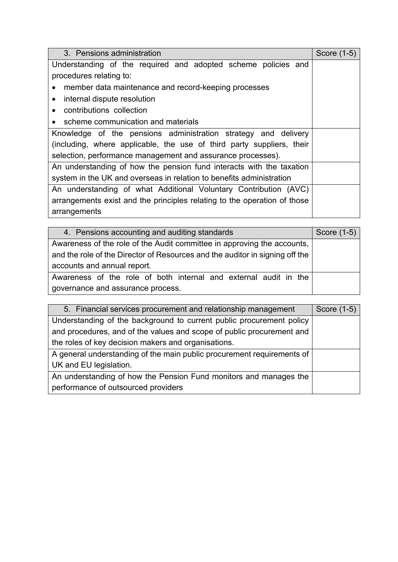| 3. Pensions administration                                                                                                           | Score (1-5) |
|--------------------------------------------------------------------------------------------------------------------------------------|-------------|
| Understanding of the required and adopted scheme policies and                                                                        |             |
| procedures relating to:                                                                                                              |             |
| member data maintenance and record-keeping processes                                                                                 |             |
| internal dispute resolution<br>$\bullet$                                                                                             |             |
| contributions collection<br>$\bullet$                                                                                                |             |
| scheme communication and materials<br>Knowledge of the pensions administration strategy and delivery                                 |             |
| (including, where applicable, the use of third party suppliers, their<br>selection, performance management and assurance processes). |             |
| An understanding of how the pension fund interacts with the taxation                                                                 |             |
| system in the UK and overseas in relation to benefits administration                                                                 |             |
| An understanding of what Additional Voluntary Contribution (AVC)                                                                     |             |
| arrangements exist and the principles relating to the operation of those                                                             |             |
| arrangements                                                                                                                         |             |
| 4. Pensions accounting and auditing standards                                                                                        | Score (1-5) |
| Awareness of the role of the Audit committee in approving the accounts,                                                              |             |
| and the role of the Director of Resources and the auditor in signing off the                                                         |             |
| accounts and annual report.                                                                                                          |             |
| Awareness of the role of both internal and external audit in the                                                                     |             |
| governance and assurance process.                                                                                                    |             |
| Financial services procurement and relationship management<br>5                                                                      | Score (1-5) |
| Understanding of the background to current public procurement policy                                                                 |             |
| and procedures, and of the values and scope of public procurement and                                                                |             |
|                                                                                                                                      |             |
| the roles of key decision makers and organisations.                                                                                  |             |
| A general understanding of the main public procurement requirements of                                                               |             |
| UK and EU legislation.                                                                                                               |             |
| An understanding of how the Pension Fund monitors and manages the<br>performance of outsourced providers                             |             |

| 4. Pensions accounting and auditing standards                                | Score $(1-5)$ |
|------------------------------------------------------------------------------|---------------|
| Awareness of the role of the Audit committee in approving the accounts,      |               |
| and the role of the Director of Resources and the auditor in signing off the |               |
| accounts and annual report.                                                  |               |
| Awareness of the role of both internal and external audit in the             |               |
| governance and assurance process.                                            |               |

| 5. Financial services procurement and relationship management          | Score (1-5) |
|------------------------------------------------------------------------|-------------|
| Understanding of the background to current public procurement policy   |             |
| and procedures, and of the values and scope of public procurement and  |             |
| the roles of key decision makers and organisations.                    |             |
| A general understanding of the main public procurement requirements of |             |
| UK and EU legislation.                                                 |             |
| An understanding of how the Pension Fund monitors and manages the      |             |
| performance of outsourced providers                                    |             |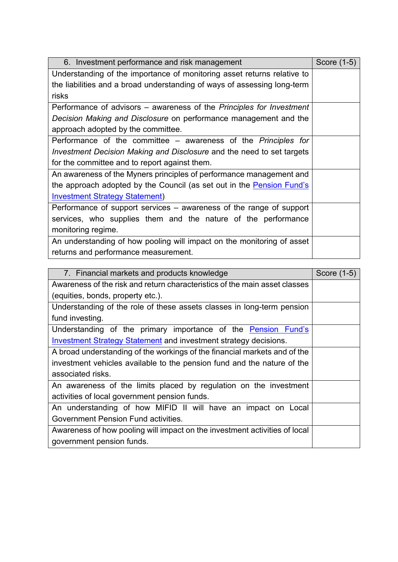|                                                                            | Score (1-5) |
|----------------------------------------------------------------------------|-------------|
| Understanding of the importance of monitoring asset returns relative to    |             |
| the liabilities and a broad understanding of ways of assessing long-term   |             |
| risks                                                                      |             |
| Performance of advisors – awareness of the Principles for Investment       |             |
| Decision Making and Disclosure on performance management and the           |             |
| approach adopted by the committee.                                         |             |
| Performance of the committee – awareness of the Principles for             |             |
| Investment Decision Making and Disclosure and the need to set targets      |             |
| for the committee and to report against them.                              |             |
| An awareness of the Myners principles of performance management and        |             |
| the approach adopted by the Council (as set out in the Pension Fund's      |             |
| <b>Investment Strategy Statement)</b>                                      |             |
| Performance of support services – awareness of the range of support        |             |
| services, who supplies them and the nature of the performance              |             |
| monitoring regime.                                                         |             |
| An understanding of how pooling will impact on the monitoring of asset     |             |
| returns and performance measurement.                                       |             |
|                                                                            |             |
| 7. Financial markets and products knowledge                                | Score (1-5) |
| Awareness of the risk and return characteristics of the main asset classes |             |
| (equities, bonds, property etc.).                                          |             |
| Understanding of the role of these assets classes in long-term pension     |             |
| fund investing.                                                            |             |
| Understanding of the primary importance of the Pension Fund's              |             |
| <b>Investment Strategy Statement</b> and investment strategy decisions.    |             |
| A broad understanding of the workings of the financial markets and of the  |             |
| investment vehicles available to the pension fund and the nature of the    |             |
| associated risks.                                                          |             |
| An awareness of the limits placed by regulation on the investment          |             |
| activities of local government pension funds.                              |             |
| An understanding of how MIFID II will have an impact on Local              |             |
| Government Pension Fund activities.                                        |             |
| Awareness of how pooling will impact on the investment activities of local |             |
| government pension funds.                                                  |             |
|                                                                            |             |
|                                                                            |             |
|                                                                            |             |
|                                                                            |             |

| 7. Financial markets and products knowledge                                                             | Score (1-5) |
|---------------------------------------------------------------------------------------------------------|-------------|
| Awareness of the risk and return characteristics of the main asset classes                              |             |
| (equities, bonds, property etc.).                                                                       |             |
| Understanding of the role of these assets classes in long-term pension                                  |             |
| fund investing.                                                                                         |             |
| Understanding of the primary importance of the Pension Fund's                                           |             |
| <b>Investment Strategy Statement and investment strategy decisions.</b>                                 |             |
| A broad understanding of the workings of the financial markets and of the                               |             |
| investment vehicles available to the pension fund and the nature of the                                 |             |
| associated risks.                                                                                       |             |
| An awareness of the limits placed by regulation on the investment                                       |             |
| activities of local government pension funds.                                                           |             |
| An understanding of how MIFID II will have an impact on Local                                           |             |
| Government Pension Fund activities.                                                                     |             |
| Awareness of how pooling will impact on the investment activities of local<br>government pension funds. |             |